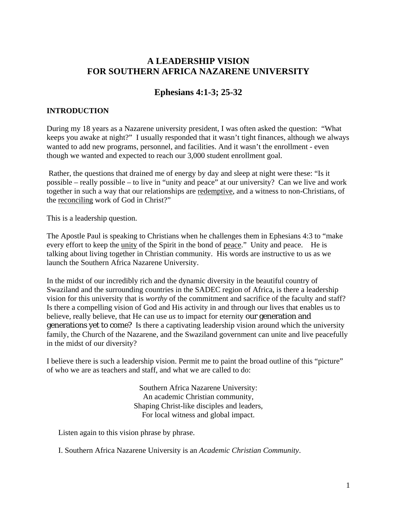# **A LEADERSHIP VISION FOR SOUTHERN AFRICA NAZARENE UNIVERSITY**

# **Ephesians 4:1-3; 25-32**

## **INTRODUCTION**

During my 18 years as a Nazarene university president, I was often asked the question: "What keeps you awake at night?" I usually responded that it wasn't tight finances, although we always wanted to add new programs, personnel, and facilities. And it wasn't the enrollment - even though we wanted and expected to reach our 3,000 student enrollment goal.

 Rather, the questions that drained me of energy by day and sleep at night were these: "Is it possible – really possible – to live in "unity and peace" at our university? Can we live and work together in such a way that our relationships are redemptive, and a witness to non-Christians, of the reconciling work of God in Christ?"

This is a leadership question.

The Apostle Paul is speaking to Christians when he challenges them in Ephesians 4:3 to "make every effort to keep the unity of the Spirit in the bond of peace." Unity and peace. He is talking about living together in Christian community. His words are instructive to us as we launch the Southern Africa Nazarene University.

In the midst of our incredibly rich and the dynamic diversity in the beautiful country of Swaziland and the surrounding countries in the SADEC region of Africa, is there a leadership vision for this university that is *worthy* of the commitment and sacrifice of the faculty and staff? Is there a compelling vision of God and His activity in and through our lives that enables us to believe, really believe, that He can use *us* to impact for eternity our generation and generations yet to come? Is there a captivating leadership vision around which the university family, the Church of the Nazarene, and the Swaziland government can unite and live peacefully in the midst of our diversity?

I believe there is such a leadership vision. Permit me to paint the broad outline of this "picture" of who we are as teachers and staff, and what we are called to do:

> Southern Africa Nazarene University: An academic Christian community, Shaping Christ-like disciples and leaders, For local witness and global impact.

Listen again to this vision phrase by phrase.

I. Southern Africa Nazarene University is an *Academic Christian Community*.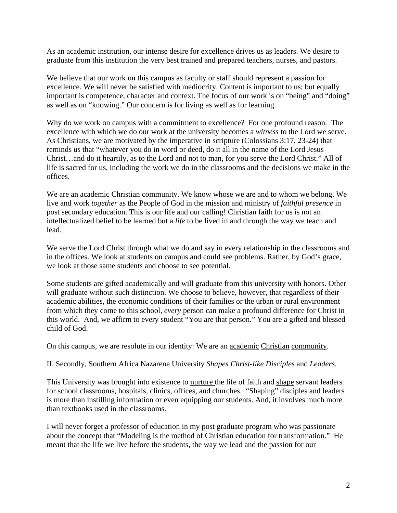As an academic institution, our intense desire for excellence drives us as leaders. We desire to graduate from this institution the very best trained and prepared teachers, nurses, and pastors.

We believe that our work on this campus as faculty or staff should represent a passion for excellence. We will never be satisfied with mediocrity. Content is important to us; but equally important is competence, character and context. The focus of our work is on "being" and "doing" as well as on "knowing." Our concern is for living as well as for learning.

Why do we work on campus with a commitment to excellence? For one profound reason. The excellence with which we do our work at the university becomes a *witness* to the Lord we serve. As Christians, we are motivated by the imperative in scripture (Colossians 3:17, 23-24) that reminds us that "whatever you do in word or deed, do it all in the name of the Lord Jesus Christ…and do it heartily, as to the Lord and not to man, for you serve the Lord Christ." All of life is sacred for us, including the work we do in the classrooms and the decisions we make in the offices.

We are an academic Christian community. We know whose we are and to whom we belong. We live and work *together* as the People of God in the mission and ministry of *faithful presence* in post secondary education. This is our life and our calling! Christian faith for us is not an intellectualized belief to be learned but a *life* to be lived in and through the way we teach and lead.

We serve the Lord Christ through what we do and say in every relationship in the classrooms and in the offices. We look at students on campus and could see problems. Rather, by God's grace, we look at those same students and choose to see potential.

Some students are gifted academically and will graduate from this university with honors. Other will graduate without such distinction. We choose to believe, however, that regardless of their academic abilities, the economic conditions of their families or the urban or rural environment from which they come to this school, *every* person can make a profound difference for Christ in this world. And, we affirm to every student "You are that person." You are a gifted and blessed child of God.

On this campus, we are resolute in our identity: We are an academic Christian community.

II. Secondly, Southern Africa Nazarene University *Shapes Christ-like Disciples* and *Leaders.* 

This University was brought into existence to nurture the life of faith and shape servant leaders for school classrooms, hospitals, clinics, offices, and churches. "Shaping" disciples and leaders is more than instilling information or even equipping our students. And, it involves much more than textbooks used in the classrooms.

I will never forget a professor of education in my post graduate program who was passionate about the concept that "Modeling is the method of Christian education for transformation." He meant that the life we live before the students, the way we lead and the passion for our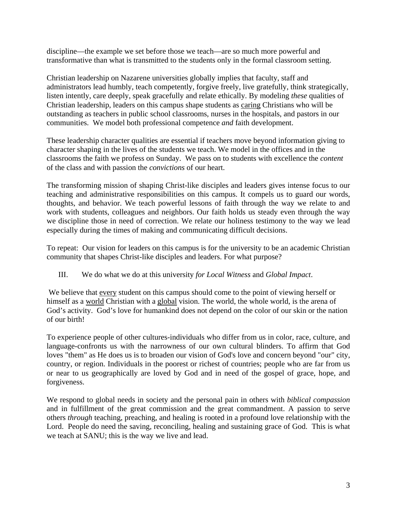discipline—the example we set before those we teach—are so much more powerful and transformative than what is transmitted to the students only in the formal classroom setting.

Christian leadership on Nazarene universities globally implies that faculty, staff and administrators lead humbly, teach competently, forgive freely, live gratefully, think strategically, listen intently, care deeply, speak gracefully and relate ethically. By modeling *these* qualities of Christian leadership, leaders on this campus shape students as caring Christians who will be outstanding as teachers in public school classrooms, nurses in the hospitals, and pastors in our communities. We model both professional competence *and* faith development.

These leadership character qualities are essential if teachers move beyond information giving to character shaping in the lives of the students we teach. We model in the offices and in the classrooms the faith we profess on Sunday. We pass on to students with excellence the *content* of the class and with passion the *convictions* of our heart.

The transforming mission of shaping Christ-like disciples and leaders gives intense focus to our teaching and administrative responsibilities on this campus. It compels us to guard our words, thoughts, and behavior. We teach powerful lessons of faith through the way we relate to and work with students, colleagues and neighbors. Our faith holds us steady even through the way we discipline those in need of correction. We relate our holiness testimony to the way we lead especially during the times of making and communicating difficult decisions.

To repeat: Our vision for leaders on this campus is for the university to be an academic Christian community that shapes Christ-like disciples and leaders. For what purpose?

### III. We do what we do at this university *for Local Witness* and *Global Impact*.

 We believe that every student on this campus should come to the point of viewing herself or himself as a world Christian with a global vision. The world, the whole world, is the arena of God's activity. God's love for humankind does not depend on the color of our skin or the nation of our birth!

To experience people of other cultures-individuals who differ from us in color, race, culture, and language-confronts us with the narrowness of our own cultural blinders. To affirm that God loves "them" as He does us is to broaden our vision of God's love and concern beyond "our" city, country, or region. Individuals in the poorest or richest of countries; people who are far from us or near to us geographically are loved by God and in need of the gospel of grace, hope, and forgiveness.

We respond to global needs in society and the personal pain in others with *biblical compassion*  and in fulfillment of the great commission and the great commandment. A passion to serve others *through* teaching, preaching, and healing is rooted in a profound love relationship with the Lord. People do need the saving, reconciling, healing and sustaining grace of God. This is what we teach at SANU; this is the way we live and lead.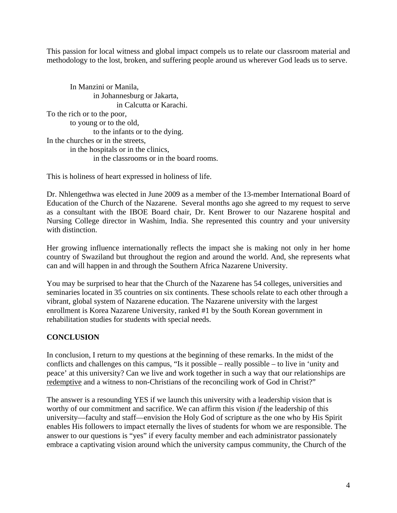This passion for local witness and global impact compels us to relate our classroom material and methodology to the lost, broken, and suffering people around us wherever God leads us to serve.

In Manzini or Manila, in Johannesburg or Jakarta, in Calcutta or Karachi. To the rich or to the poor, to young or to the old, to the infants or to the dying. In the churches or in the streets, in the hospitals or in the clinics, in the classrooms or in the board rooms.

This is holiness of heart expressed in holiness of life.

Dr. Nhlengethwa was elected in June 2009 as a member of the 13-member International Board of Education of the Church of the Nazarene. Several months ago she agreed to my request to serve as a consultant with the IBOE Board chair, Dr. Kent Brower to our Nazarene hospital and Nursing College director in Washim, India. She represented this country and your university with distinction.

Her growing influence internationally reflects the impact she is making not only in her home country of Swaziland but throughout the region and around the world. And, she represents what can and will happen in and through the Southern Africa Nazarene University.

You may be surprised to hear that the Church of the Nazarene has 54 colleges, universities and seminaries located in 35 countries on six continents. These schools relate to each other through a vibrant, global system of Nazarene education. The Nazarene university with the largest enrollment is Korea Nazarene University, ranked #1 by the South Korean government in rehabilitation studies for students with special needs.

### **CONCLUSION**

In conclusion, I return to my questions at the beginning of these remarks. In the midst of the conflicts and challenges on this campus, "Is it possible – really possible – to live in 'unity and peace' at this university? Can we live and work together in such a way that our relationships are redemptive and a witness to non-Christians of the reconciling work of God in Christ?"

The answer is a resounding YES if we launch this university with a leadership vision that is worthy of our commitment and sacrifice. We can affirm this vision *if* the leadership of this university—faculty and staff—envision the Holy God of scripture as the one who by His Spirit enables His followers to impact eternally the lives of students for whom we are responsible. The answer to our questions is "yes" if every faculty member and each administrator passionately embrace a captivating vision around which the university campus community, the Church of the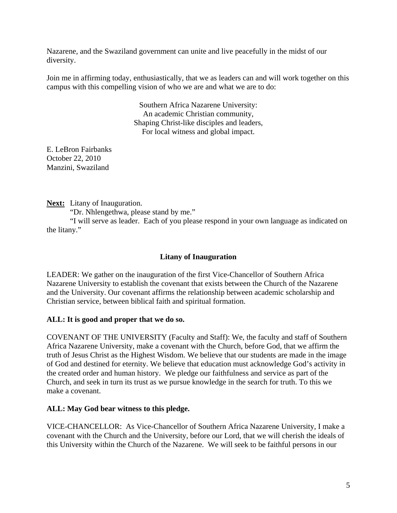Nazarene, and the Swaziland government can unite and live peacefully in the midst of our diversity.

Join me in affirming today, enthusiastically, that we as leaders can and will work together on this campus with this compelling vision of who we are and what we are to do:

> Southern Africa Nazarene University: An academic Christian community, Shaping Christ-like disciples and leaders, For local witness and global impact.

E. LeBron Fairbanks October 22, 2010 Manzini, Swaziland

**Next:** Litany of Inauguration.

"Dr. Nhlengethwa, please stand by me."

 "I will serve as leader. Each of you please respond in your own language as indicated on the litany."

## **Litany of Inauguration**

LEADER: We gather on the inauguration of the first Vice-Chancellor of Southern Africa Nazarene University to establish the covenant that exists between the Church of the Nazarene and the University. Our covenant affirms the relationship between academic scholarship and Christian service, between biblical faith and spiritual formation.

### **ALL: It is good and proper that we do so.**

COVENANT OF THE UNIVERSITY (Faculty and Staff): We, the faculty and staff of Southern Africa Nazarene University, make a covenant with the Church, before God, that we affirm the truth of Jesus Christ as the Highest Wisdom. We believe that our students are made in the image of God and destined for eternity. We believe that education must acknowledge God's activity in the created order and human history. We pledge our faithfulness and service as part of the Church, and seek in turn its trust as we pursue knowledge in the search for truth. To this we make a covenant.

### **ALL: May God bear witness to this pledge.**

VICE-CHANCELLOR: As Vice-Chancellor of Southern Africa Nazarene University, I make a covenant with the Church and the University, before our Lord, that we will cherish the ideals of this University within the Church of the Nazarene. We will seek to be faithful persons in our